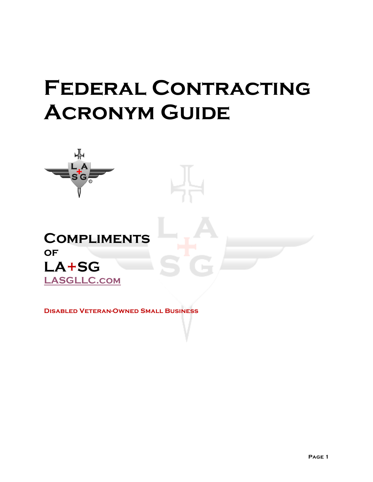# **Federal Contracting Acronym Guide**



**Disabled Veteran-Owned Small Business**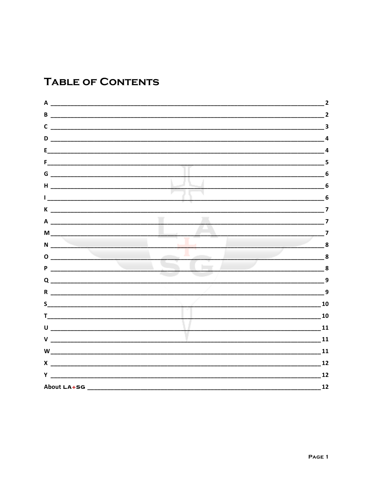### **TABLE OF CONTENTS**

| A                                                                                                                                   | $\overline{2}$          |
|-------------------------------------------------------------------------------------------------------------------------------------|-------------------------|
| B                                                                                                                                   | 2                       |
| $\mathsf{C}$                                                                                                                        | 3                       |
| D                                                                                                                                   | 4                       |
| E                                                                                                                                   | 4                       |
| Fig. 1. The contract of the contract of                                                                                             | 5                       |
|                                                                                                                                     | $6\phantom{1}6$         |
| H                                                                                                                                   | 6                       |
| $\mathbf{L}$<br><u> 1989 - Johann John Stoff, deutscher Stoffen und der Stoffen und der Stoffen und der Stoffen und der Stoffen</u> | 6                       |
|                                                                                                                                     | 7                       |
|                                                                                                                                     |                         |
| M                                                                                                                                   |                         |
| $N_{\perp}$<br>the control of the control of the control of                                                                         | $\bf{8}$                |
| $\mathbf{O}$<br>the contract of the contract of the contract of                                                                     | $\overline{\mathbf{8}}$ |
| P<br><u> 1989 - Johann John Harry Harry Harry Harry Harry Harry Harry Harry Harry Harry Harry Harry Harry Harry Harry</u>           | $\overline{\mathbf{8}}$ |
| $Q_{\perp}$                                                                                                                         | $\boldsymbol{9}$        |
|                                                                                                                                     | $\overline{9}$          |
|                                                                                                                                     | 10                      |
| T                                                                                                                                   | 10                      |
| $\mathsf{U}$                                                                                                                        | 11                      |
|                                                                                                                                     | 11                      |
|                                                                                                                                     | 11                      |
|                                                                                                                                     | 12                      |
|                                                                                                                                     | 12                      |
|                                                                                                                                     | 12                      |
|                                                                                                                                     |                         |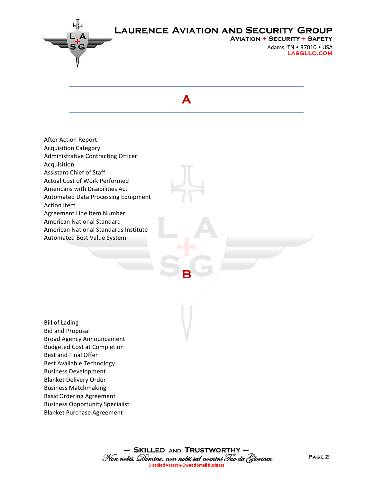

**AVIATION + SECURITY + SAFETY** Adams, TN . 37010 . USA **LASGLLC.COM** 



**After Action Report** Acquisition Category Administrative Contracting Officer Acquisition Assistant Chief of Staff Actual Cost of Work Performed Americans with Disabilities Act Automated Data Processing Equipment **Action** Item Agreement Line Item Number American National Standard American National Standards Institute Automated Best Value System 

**Bill of Lading Bid and Proposal** Broad Agency Announcement Budgeted Cost at Completion Best and Final Offer Best Available Technology Business Development Blanket Delivery Order Business Matchmaking Basic Ordering Agreement Business Opportunity Specialist **Blanket Purchase Agreement** 

**B**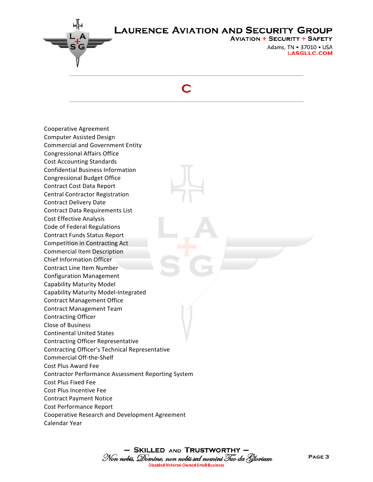

**AVIATION + SECURITY + SAFETY** Adams, TN . 37010 . USA **LASGLLC.COM** 

#### **C**

Cooperative Agreement Computer Assisted Design Commercial and Government Entity Congressional Affairs Office Cost Accounting Standards Confidential Business Information Congressional Budget Office Contract Cost Data Report Central Contractor Registration Contract Delivery Date Contract Data Requirements List Cost Effective Analysis Code of Federal Regulations Contract Funds Status Report Competition in Contracting Act Commercial Item Description Chief Information Officer Contract Line Item Number Configuration Management Capability Maturity Model Capability Maturity Model-Integrated Contract Management Office Contract Management Team Contracting Officer Close of Business Continental United States Contracting Officer Representative Contracting Officer's Technical Representative Commercial Off-the-Shelf Cost Plus Award Fee Contractor Performance Assessment Reporting System Cost Plus Fixed Fee Cost Plus Incentive Fee Contract Payment Notice Cost Performance Report Cooperative Research and Development Agreement Calendar Year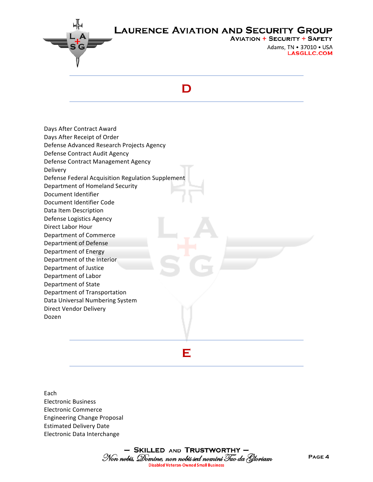

**AVIATION + SECURITY + SAFETY** Adams, TN . 37010 . USA **LASGLLC.COM** 

#### **D**

Days After Contract Award Days After Receipt of Order Defense Advanced Research Projects Agency Defense Contract Audit Agency Defense Contract Management Agency Delivery Defense Federal Acquisition Regulation Supplement Department of Homeland Security Document Identifier Document Identifier Code Data Item Description Defense Logistics Agency Direct Labor Hour Department of Commerce Department of Defense Department of Energy Department of the Interior Department of Justice Department of Labor Department of State Department of Transportation Data Universal Numbering System Direct Vendor Delivery Dozen

**E**

Each Electronic Business Electronic Commerce Engineering Change Proposal Estimated Delivery Date Electronic Data Interchange

> - SKILLED AND TRUSTWORTHY -Non nobis, Domine, non nobis sed nomini Tuo da Gloriam **Disabled Veteran-Owned Small Business**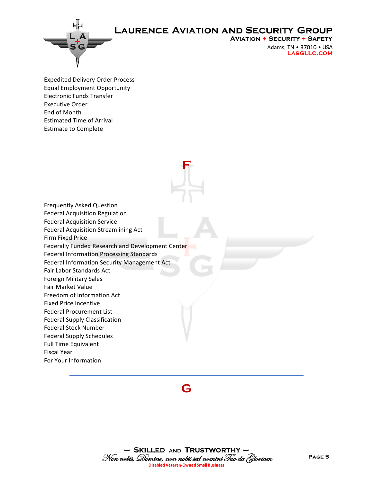

#### **AVIATION + SECURITY + SAFETY**

Adams, TN . 37010 . USA **LASGLLC.COM** 

Expedited Delivery Order Process Equal Employment Opportunity Electronic Funds Transfer Executive Order End of Month Estimated Time of Arrival **Estimate to Complete** 

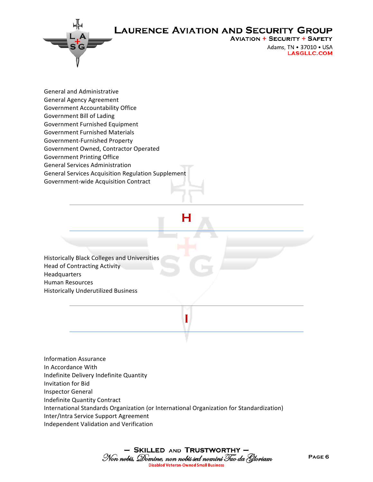**AVIATION + SECURITY + SAFETY** 

Adams, TN . 37010 . USA **LASGLLC.COM** 

General and Administrative General Agency Agreement Government Accountability Office Government Bill of Lading Government Furnished Equipment Government Furnished Materials Government-Furnished Property Government Owned, Contractor Operated Government Printing Office General Services Administration General Services Acquisition Regulation Supplement Government-wide Acquisition Contract

## **H**

**I**

Historically Black Colleges and Universities Head of Contracting Activity Headquarters Human Resources Historically Underutilized Business

Information Assurance In Accordance With Indefinite Delivery Indefinite Quantity Invitation for Bid Inspector General Indefinite Quantity Contract International Standards Organization (or International Organization for Standardization) Inter/Intra Service Support Agreement Independent Validation and Verification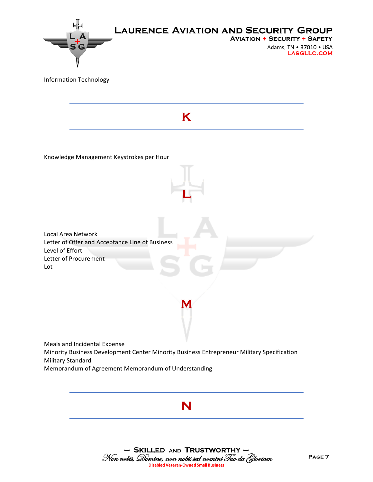

- SKILLED AND TRUSTWORTHY -Non nobis, Domine, non nobis sed nomini Tuo da Gloriam **Disabled Veteran-Owned Small Business**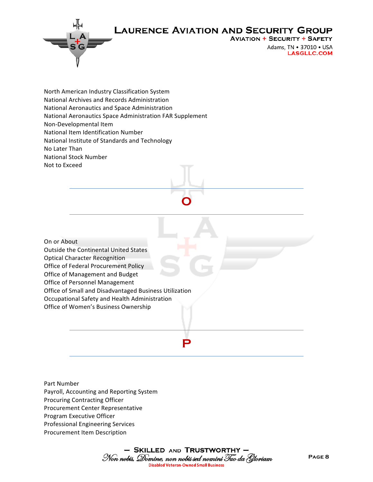

**AVIATION + SECURITY + SAFETY** 

Adams, TN . 37010 . USA **LASGLLC.COM** 

North American Industry Classification System National Archives and Records Administration National Aeronautics and Space Administration National Aeronautics Space Administration FAR Supplement Non-Developmental Item National Item Identification Number National Institute of Standards and Technology No Later Than National Stock Number Not to Exceed

On or About Outside the Continental United States **Optical Character Recognition** Office of Federal Procurement Policy Office of Management and Budget Office of Personnel Management Office of Small and Disadvantaged Business Utilization Occupational Safety and Health Administration Office of Women's Business Ownership

Part Number Payroll, Accounting and Reporting System Procuring Contracting Officer Procurement Center Representative Program Executive Officer Professional Engineering Services Procurement Item Description

**P**

**O**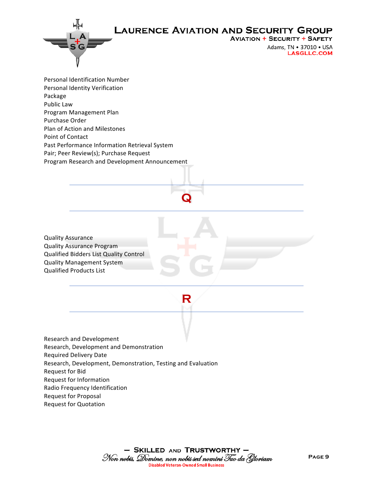

**AVIATION + SECURITY + SAFETY** 

Adams, TN . 37010 . USA **LASGLLC.COM** 

Personal Identification Number Personal Identity Verification Package Public Law Program Management Plan Purchase Order Plan of Action and Milestones Point of Contact Past Performance Information Retrieval System Pair; Peer Review(s); Purchase Request Program Research and Development Announcement

Quality Assurance Quality Assurance Program Qualified Bidders List Quality Control Quality Management System Qualified Products List 

**R**

**Q**

Research and Development Research, Development and Demonstration Required Delivery Date Research, Development, Demonstration, Testing and Evaluation Request for Bid Request for Information Radio Frequency Identification Request for Proposal **Request for Quotation**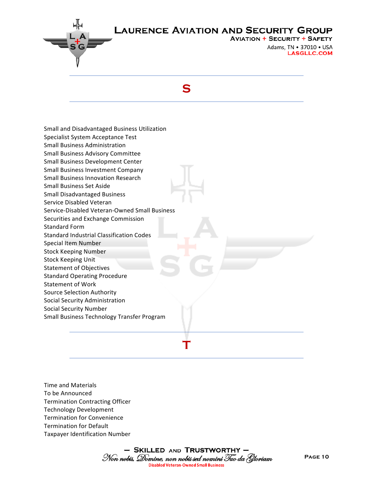

**AVIATION + SECURITY + SAFETY** Adams, TN . 37010 . USA **LASGLLC.COM** 

#### **S**

Small and Disadvantaged Business Utilization Specialist System Acceptance Test Small Business Administration Small Business Advisory Committee Small Business Development Center Small Business Investment Company Small Business Innovation Research Small Business Set Aside Small Disadvantaged Business Service Disabled Veteran Service-Disabled Veteran-Owned Small Business Securities and Exchange Commission Standard Form Standard Industrial Classification Codes Special Item Number Stock Keeping Number Stock Keeping Unit Statement of Objectives Standard Operating Procedure Statement of Work Source Selection Authority Social Security Administration Social Security Number Small Business Technology Transfer Program **T**

Time and Materials To be Announced Termination Contracting Officer Technology Development **Termination for Convenience** Termination for Default Taxpayer Identification Number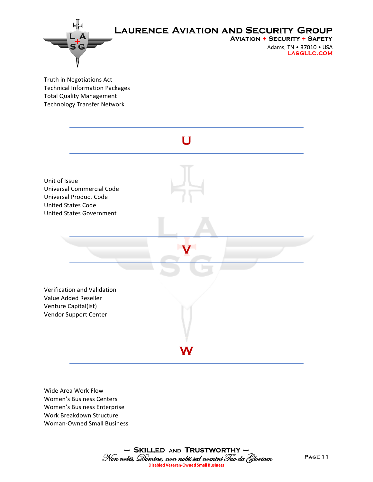

**AVIATION + SECURITY + SAFETY** Adams, TN . 37010 . USA **LASGLLC.COM** 

Truth in Negotiations Act Technical Information Packages **Total Quality Management** Technology Transfer Network 



Wide Area Work Flow Women's Business Centers Women's Business Enterprise Work Breakdown Structure Woman-Owned Small Business